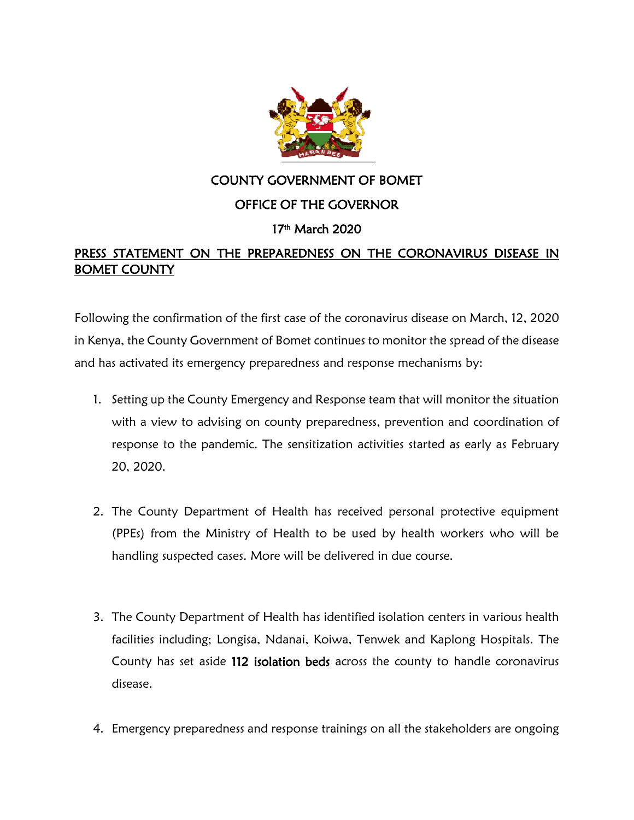

## COUNTY GOVERNMENT OF BOMET

## OFFICE OF THE GOVERNOR

## 17th March 2020

## PRESS STATEMENT ON THE PREPAREDNESS ON THE CORONAVIRUS DISEASE IN BOMET COUNTY

Following the confirmation of the first case of the coronavirus disease on March, 12, 2020 in Kenya, the County Government of Bomet continues to monitor the spread of the disease and has activated its emergency preparedness and response mechanisms by:

- 1. Setting up the County Emergency and Response team that will monitor the situation with a view to advising on county preparedness, prevention and coordination of response to the pandemic. The sensitization activities started as early as February 20, 2020.
- 2. The County Department of Health has received personal protective equipment (PPEs) from the Ministry of Health to be used by health workers who will be handling suspected cases. More will be delivered in due course.
- 3. The County Department of Health has identified isolation centers in various health facilities including; Longisa, Ndanai, Koiwa, Tenwek and Kaplong Hospitals. The County has set aside 112 isolation beds across the county to handle coronavirus disease.
- 4. Emergency preparedness and response trainings on all the stakeholders are ongoing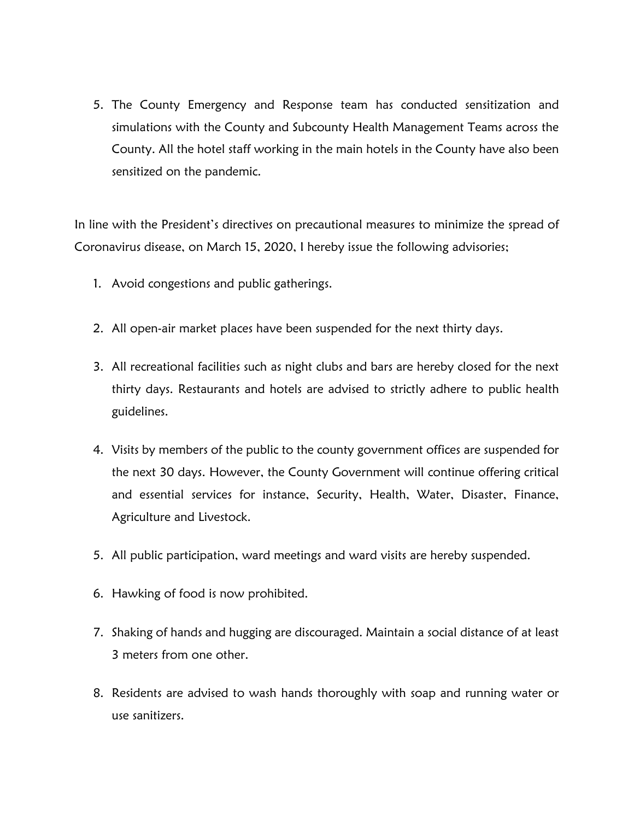5. The County Emergency and Response team has conducted sensitization and simulations with the County and Subcounty Health Management Teams across the County. All the hotel staff working in the main hotels in the County have also been sensitized on the pandemic.

In line with the President's directives on precautional measures to minimize the spread of Coronavirus disease, on March 15, 2020, I hereby issue the following advisories;

- 1. Avoid congestions and public gatherings.
- 2. All open-air market places have been suspended for the next thirty days.
- 3. All recreational facilities such as night clubs and bars are hereby closed for the next thirty days. Restaurants and hotels are advised to strictly adhere to public health guidelines.
- 4. Visits by members of the public to the county government offices are suspended for the next 30 days. However, the County Government will continue offering critical and essential services for instance, Security, Health, Water, Disaster, Finance, Agriculture and Livestock.
- 5. All public participation, ward meetings and ward visits are hereby suspended.
- 6. Hawking of food is now prohibited.
- 7. Shaking of hands and hugging are discouraged. Maintain a social distance of at least 3 meters from one other.
- 8. Residents are advised to wash hands thoroughly with soap and running water or use sanitizers.